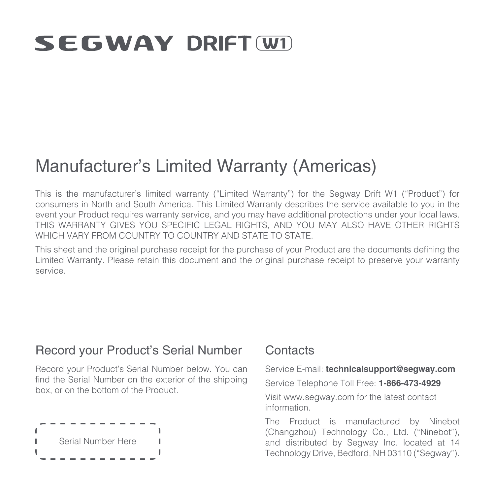# **SEGWAY DRIFT WD**

## Manufacturer's Limited Warranty (Americas)

This is the manufacturer's limited warranty ("Limited Warranty") for the Segway Drift W1 ("Product") for consumers in North and South America. This Limited Warranty describes the service available to you in the event your Product requires warranty service, and you may have additional protections under your local laws. THIS WARRANTY GIVES YOU SPECIFIC LEGAL RIGHTS, AND YOU MAY ALSO HAVE OTHER RIGHTS WHICH VARY FROM COUNTRY TO COUNTRY AND STATE TO STATE.

This sheet and the original purchase receipt for the purchase of your Product are the documents defining the Limited Warranty. Please retain this document and the original purchase receipt to preserve your warranty service.

#### Record your Product's Serial Number

Record your Product's Serial Number below. You can find the Serial Number on the exterior of the shipping box, or on the bottom of the Product.



#### **Contacts**

Service E-mail: **technicalsupport@segway.com** Service Telephone Toll Free: **1-866-473-4929** Visit www.segway.com for the latest contact information.

The Product is manufactured by Ninebot (Changzhou) Technology Co., Ltd. ("Ninebot"), and distributed by Segway Inc. located at 14 Technology Drive, Bedford, NH 03110 ("Segway").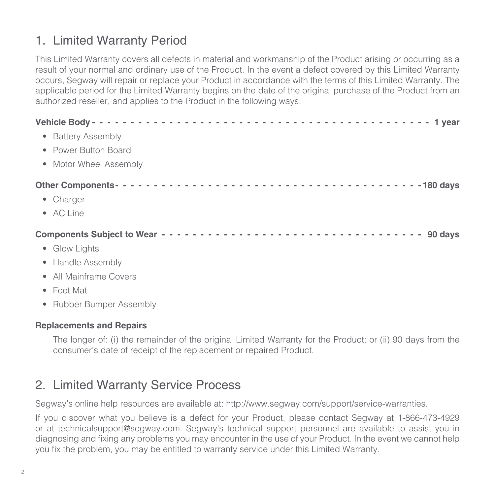### 1. Limited Warranty Period

This Limited Warranty covers all defects in material and workmanship of the Product arising or occurring as a result of your normal and ordinary use of the Product. In the event a defect covered by this Limited Warranty occurs, Segway will repair or replace your Product in accordance with the terms of this Limited Warranty. The applicable period for the Limited Warranty begins on the date of the original purchase of the Product from an authorized reseller, and applies to the Product in the following ways:

|                    | • Battery Assembly       |  |  |  |
|--------------------|--------------------------|--|--|--|
|                    | • Power Button Board     |  |  |  |
|                    | • Motor Wheel Assembly   |  |  |  |
|                    |                          |  |  |  |
| • Charger          |                          |  |  |  |
| • AC Line          |                          |  |  |  |
|                    |                          |  |  |  |
| • Glow Lights      |                          |  |  |  |
|                    | • Handle Assembly        |  |  |  |
|                    | • All Mainframe Covers   |  |  |  |
| $\bullet$ Foot Mat |                          |  |  |  |
|                    | • Rubber Bumper Assembly |  |  |  |

#### **Replacements and Repairs**

The longer of: (i) the remainder of the original Limited Warranty for the Product; or (ii) 90 days from the consumer's date of receipt of the replacement or repaired Product.

#### 2. Limited Warranty Service Process

Segway's online help resources are available at: http://www.segway.com/support/service-warranties.

If you discover what you believe is a defect for your Product, please contact Segway at 1-866-473-4929 or at technicalsupport@segway.com. Segway's technical support personnel are available to assist you in diagnosing and fixing any problems you may encounter in the use of your Product. In the event we cannot help you fix the problem, you may be entitled to warranty service under this Limited Warranty.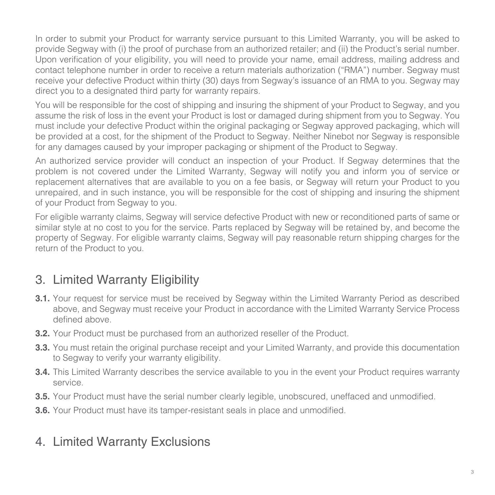In order to submit your Product for warranty service pursuant to this Limited Warranty, you will be asked to provide Segway with (i) the proof of purchase from an authorized retailer; and (ii) the Product's serial number. Upon verification of your eligibility, you will need to provide your name, email address, mailing address and contact telephone number in order to receive a return materials authorization ("RMA") number. Segway must receive your defective Product within thirty (30) days from Segway's issuance of an RMA to you. Segway may direct you to a designated third party for warranty repairs.

You will be responsible for the cost of shipping and insuring the shipment of your Product to Segway, and you assume the risk of loss in the event your Product is lost or damaged during shipment from you to Segway. You must include your defective Product within the original packaging or Segway approved packaging, which will be provided at a cost, for the shipment of the Product to Segway. Neither Ninebot nor Segway is responsible for any damages caused by your improper packaging or shipment of the Product to Segway.

An authorized service provider will conduct an inspection of your Product. If Segway determines that the problem is not covered under the Limited Warranty, Segway will notify you and inform you of service or replacement alternatives that are available to you on a fee basis, or Segway will return your Product to you unrepaired, and in such instance, you will be responsible for the cost of shipping and insuring the shipment of your Product from Segway to you.

For eligible warranty claims, Segway will service defective Product with new or reconditioned parts of same or similar style at no cost to you for the service. Parts replaced by Segway will be retained by, and become the property of Segway. For eligible warranty claims, Segway will pay reasonable return shipping charges for the return of the Product to you.

### 3. Limited Warranty Eligibility

- **3.1.** Your request for service must be received by Segway within the Limited Warranty Period as described above, and Segway must receive your Product in accordance with the Limited Warranty Service Process defined above.
- **3.2.** Your Product must be purchased from an authorized reseller of the Product.
- **3.3.** You must retain the original purchase receipt and your Limited Warranty, and provide this documentation to Segway to verify your warranty eligibility.
- **3.4.** This Limited Warranty describes the service available to you in the event your Product requires warranty service.
- **3.5.** Your Product must have the serial number clearly legible, unobscured, uneffaced and unmodified.
- **3.6.** Your Product must have its tamper-resistant seals in place and unmodified.

### 4. Limited Warranty Exclusions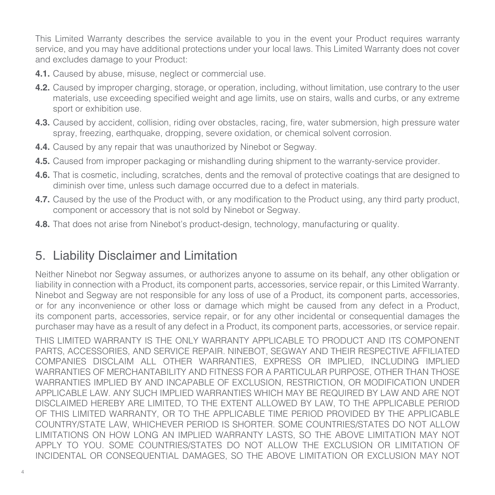This Limited Warranty describes the service available to you in the event your Product requires warranty service, and you may have additional protections under your local laws. This Limited Warranty does not cover and excludes damage to your Product:

- **4.1.** Caused by abuse, misuse, neglect or commercial use.
- **4.2.** Caused by improper charging, storage, or operation, including, without limitation, use contrary to the user materials, use exceeding specified weight and age limits, use on stairs, walls and curbs, or any extreme sport or exhibition use.
- **4.3.** Caused by accident, collision, riding over obstacles, racing, fire, water submersion, high pressure water spray, freezing, earthquake, dropping, severe oxidation, or chemical solvent corrosion.
- **4.4.** Caused by any repair that was unauthorized by Ninebot or Segway.
- **4.5.** Caused from improper packaging or mishandling during shipment to the warranty-service provider.
- **4.6.** That is cosmetic, including, scratches, dents and the removal of protective coatings that are designed to diminish over time, unless such damage occurred due to a defect in materials.
- **4.7.** Caused by the use of the Product with, or any modification to the Product using, any third party product, component or accessory that is not sold by Ninebot or Segway.
- **4.8.** That does not arise from Ninebot's product-design, technology, manufacturing or quality.

### 5. Liability Disclaimer and Limitation

Neither Ninebot nor Segway assumes, or authorizes anyone to assume on its behalf, any other obligation or liability in connection with a Product, its component parts, accessories, service repair, or this Limited Warranty. Ninebot and Segway are not responsible for any loss of use of a Product, its component parts, accessories, or for any inconvenience or other loss or damage which might be caused from any defect in a Product, its component parts, accessories, service repair, or for any other incidental or consequential damages the purchaser may have as a result of any defect in a Product, its component parts, accessories, or service repair.

THIS LIMITED WARRANTY IS THE ONLY WARRANTY APPLICABLE TO PRODUCT AND ITS COMPONENT PARTS, ACCESSORIES, AND SERVICE REPAIR. NINEBOT, SEGWAY AND THEIR RESPECTIVE AFFILIATED COMPANIES DISCLAIM ALL OTHER WARRANTIES, EXPRESS OR IMPLIED, INCLUDING IMPLIED WARRANTIES OF MERCHANTABILITY AND FITNESS FOR A PARTICULAR PURPOSE, OTHER THAN THOSE WARRANTIES IMPLIED BY AND INCAPABLE OF EXCLUSION, RESTRICTION, OR MODIFICATION UNDER APPLICABLE LAW. ANY SUCH IMPLIED WARRANTIES WHICH MAY BE REQUIRED BY LAW AND ARE NOT DISCLAIMED HEREBY ARE LIMITED, TO THE EXTENT ALLOWED BY LAW, TO THE APPLICABLE PERIOD OF THIS LIMITED WARRANTY, OR TO THE APPLICABLE TIME PERIOD PROVIDED BY THE APPLICABLE COUNTRY/STATE LAW, WHICHEVER PERIOD IS SHORTER. SOME COUNTRIES/STATES DO NOT ALLOW LIMITATIONS ON HOW LONG AN IMPLIED WARRANTY LASTS, SO THE ABOVE LIMITATION MAY NOT APPLY TO YOU. SOME COUNTRIES/STATES DO NOT ALLOW THE EXCLUSION OR LIMITATION OF INCIDENTAL OR CONSEQUENTIAL DAMAGES, SO THE ABOVE LIMITATION OR EXCLUSION MAY NOT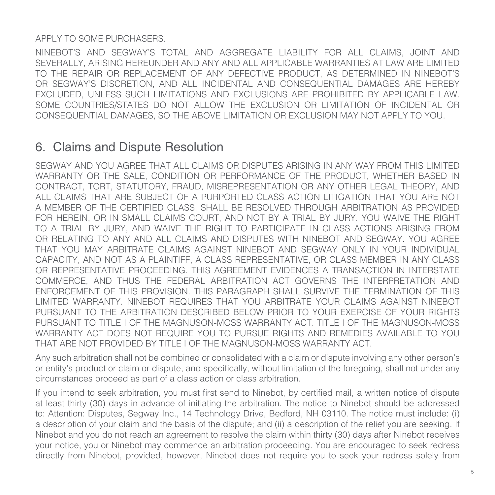#### APPLY TO SOME PURCHASERS.

NINEBOT'S AND SEGWAY'S TOTAL AND AGGREGATE LIABILITY FOR ALL CLAIMS, JOINT AND SEVERALLY, ARISING HEREUNDER AND ANY AND ALL APPLICABLE WARRANTIES AT LAW ARE LIMITED TO THE REPAIR OR REPLACEMENT OF ANY DEFECTIVE PRODUCT, AS DETERMINED IN NINEBOT'S OR SEGWAY'S DISCRETION, AND ALL INCIDENTAL AND CONSEQUENTIAL DAMAGES ARE HEREBY EXCLUDED, UNLESS SUCH LIMITATIONS AND EXCLUSIONS ARE PROHIBITED BY APPLICABLE LAW. SOME COUNTRIES/STATES DO NOT ALLOW THE EXCLUSION OR LIMITATION OF INCIDENTAL OR CONSEQUENTIAL DAMAGES, SO THE ABOVE LIMITATION OR EXCLUSION MAY NOT APPLY TO YOU.

#### 6. Claims and Dispute Resolution

SEGWAY AND YOU AGREE THAT ALL CLAIMS OR DISPUTES ARISING IN ANY WAY FROM THIS LIMITED WARRANTY OR THE SALE, CONDITION OR PERFORMANCE OF THE PRODUCT, WHETHER BASED IN CONTRACT, TORT, STATUTORY, FRAUD, MISREPRESENTATION OR ANY OTHER LEGAL THEORY, AND ALL CLAIMS THAT ARE SUBJECT OF A PURPORTED CLASS ACTION LITIGATION THAT YOU ARE NOT A MEMBER OF THE CERTIFIED CLASS, SHALL BE RESOLVED THROUGH ARBITRATION AS PROVIDED FOR HEREIN, OR IN SMALL CLAIMS COURT, AND NOT BY A TRIAL BY JURY. YOU WAIVE THE RIGHT TO A TRIAL BY JURY, AND WAIVE THE RIGHT TO PARTICIPATE IN CLASS ACTIONS ARISING FROM OR RELATING TO ANY AND ALL CLAIMS AND DISPUTES WITH NINEBOT AND SEGWAY. YOU AGREE THAT YOU MAY ARBITRATE CLAIMS AGAINST NINEBOT AND SEGWAY ONLY IN YOUR INDIVIDUAL CAPACITY, AND NOT AS A PLAINTIFF, A CLASS REPRESENTATIVE, OR CLASS MEMBER IN ANY CLASS OR REPRESENTATIVE PROCEEDING. THIS AGREEMENT EVIDENCES A TRANSACTION IN INTERSTATE COMMERCE, AND THUS THE FEDERAL ARBITRATION ACT GOVERNS THE INTERPRETATION AND ENFORCEMENT OF THIS PROVISION. THIS PARAGRAPH SHALL SURVIVE THE TERMINATION OF THIS LIMITED WARRANTY. NINEBOT REQUIRES THAT YOU ARBITRATE YOUR CLAIMS AGAINST NINEBOT PURSUANT TO THE ARBITRATION DESCRIBED BELOW PRIOR TO YOUR EXERCISE OF YOUR RIGHTS PURSUANT TO TITLE I OF THE MAGNUSON-MOSS WARRANTY ACT. TITLE I OF THE MAGNUSON-MOSS WARRANTY ACT DOES NOT REQUIRE YOU TO PURSUE RIGHTS AND REMEDIES AVAILABLE TO YOU THAT ARE NOT PROVIDED BY TITLE I OF THE MAGNUSON-MOSS WARRANTY ACT.

Any such arbitration shall not be combined or consolidated with a claim or dispute involving any other person's or entity's product or claim or dispute, and specifically, without limitation of the foregoing, shall not under any circumstances proceed as part of a class action or class arbitration.

If you intend to seek arbitration, you must first send to Ninebot, by certified mail, a written notice of dispute at least thirty (30) days in advance of initiating the arbitration. The notice to Ninebot should be addressed to: Attention: Disputes, Segway Inc., 14 Technology Drive, Bedford, NH 03110. The notice must include: (i) a description of your claim and the basis of the dispute; and (ii) a description of the relief you are seeking. If Ninebot and you do not reach an agreement to resolve the claim within thirty (30) days after Ninebot receives your notice, you or Ninebot may commence an arbitration proceeding. You are encouraged to seek redress directly from Ninebot, provided, however, Ninebot does not require you to seek your redress solely from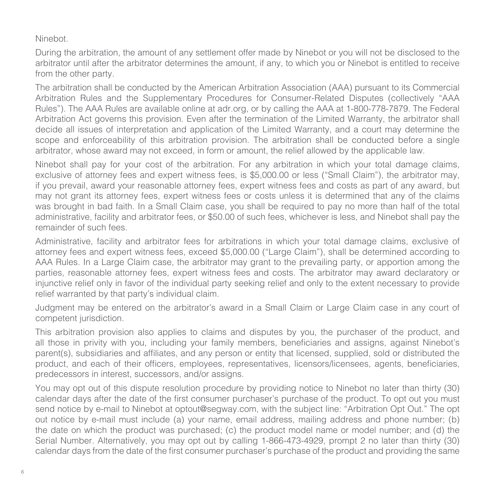#### Ninebot.

During the arbitration, the amount of any settlement offer made by Ninebot or you will not be disclosed to the arbitrator until after the arbitrator determines the amount, if any, to which you or Ninebot is entitled to receive from the other party.

The arbitration shall be conducted by the American Arbitration Association (AAA) pursuant to its Commercial Arbitration Rules and the Supplementary Procedures for Consumer-Related Disputes (collectively "AAA Rules"). The AAA Rules are available online at adr.org, or by calling the AAA at 1-800-778-7879. The Federal Arbitration Act governs this provision. Even after the termination of the Limited Warranty, the arbitrator shall decide all issues of interpretation and application of the Limited Warranty, and a court may determine the scope and enforceability of this arbitration provision. The arbitration shall be conducted before a single arbitrator, whose award may not exceed, in form or amount, the relief allowed by the applicable law.

Ninebot shall pay for your cost of the arbitration. For any arbitration in which your total damage claims, exclusive of attorney fees and expert witness fees, is \$5,000.00 or less ("Small Claim"), the arbitrator may, if you prevail, award your reasonable attorney fees, expert witness fees and costs as part of any award, but may not grant its attorney fees, expert witness fees or costs unless it is determined that any of the claims was brought in bad faith. In a Small Claim case, you shall be required to pay no more than half of the total administrative, facility and arbitrator fees, or \$50.00 of such fees, whichever is less, and Ninebot shall pay the remainder of such fees.

Administrative, facility and arbitrator fees for arbitrations in which your total damage claims, exclusive of attorney fees and expert witness fees, exceed \$5,000.00 ("Large Claim"), shall be determined according to AAA Rules. In a Large Claim case, the arbitrator may grant to the prevailing party, or apportion among the parties, reasonable attorney fees, expert witness fees and costs. The arbitrator may award declaratory or injunctive relief only in favor of the individual party seeking relief and only to the extent necessary to provide relief warranted by that party's individual claim.

Judgment may be entered on the arbitrator's award in a Small Claim or Large Claim case in any court of competent jurisdiction.

This arbitration provision also applies to claims and disputes by you, the purchaser of the product, and all those in privity with you, including your family members, beneficiaries and assigns, against Ninebot's parent(s), subsidiaries and affiliates, and any person or entity that licensed, supplied, sold or distributed the product, and each of their officers, employees, representatives, licensors/licensees, agents, beneficiaries, predecessors in interest, successors, and/or assigns.

You may opt out of this dispute resolution procedure by providing notice to Ninebot no later than thirty (30) calendar days after the date of the first consumer purchaser's purchase of the product. To opt out you must send notice by e-mail to Ninebot at optout@segway.com, with the subject line: "Arbitration Opt Out." The opt out notice by e-mail must include (a) your name, email address, mailing address and phone number; (b) the date on which the product was purchased; (c) the product model name or model number; and (d) the Serial Number. Alternatively, you may opt out by calling 1-866-473-4929, prompt 2 no later than thirty (30) calendar days from the date of the first consumer purchaser's purchase of the product and providing the same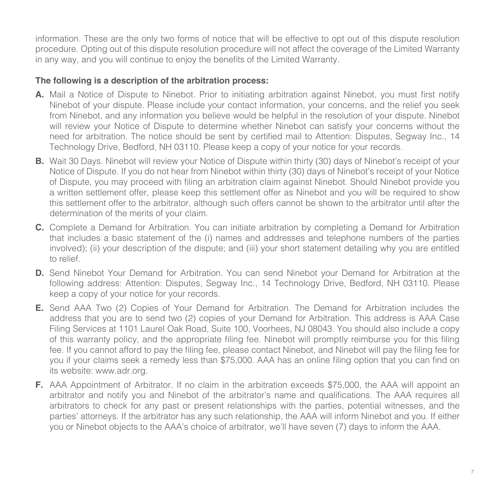information. These are the only two forms of notice that will be effective to opt out of this dispute resolution procedure. Opting out of this dispute resolution procedure will not affect the coverage of the Limited Warranty in any way, and you will continue to enjoy the benefits of the Limited Warranty.

#### **The following is a description of the arbitration process:**

- **A.** Mail a Notice of Dispute to Ninebot. Prior to initiating arbitration against Ninebot, you must first notify Ninebot of your dispute. Please include your contact information, your concerns, and the relief you seek from Ninebot, and any information you believe would be helpful in the resolution of your dispute. Ninebot will review your Notice of Dispute to determine whether Ninebot can satisfy your concerns without the need for arbitration. The notice should be sent by certified mail to Attention: Disputes, Segway Inc., 14 Technology Drive, Bedford, NH 03110. Please keep a copy of your notice for your records.
- **B.** Wait 30 Days. Ninebot will review your Notice of Dispute within thirty (30) days of Ninebot's receipt of your Notice of Dispute. If you do not hear from Ninebot within thirty (30) days of Ninebot's receipt of your Notice of Dispute, you may proceed with filing an arbitration claim against Ninebot. Should Ninebot provide you a written settlement offer, please keep this settlement offer as Ninebot and you will be required to show this settlement offer to the arbitrator, although such offers cannot be shown to the arbitrator until after the determination of the merits of your claim.
- **C.** Complete a Demand for Arbitration. You can initiate arbitration by completing a Demand for Arbitration that includes a basic statement of the (i) names and addresses and telephone numbers of the parties involved); (ii) your description of the dispute; and (iii) your short statement detailing why you are entitled to relief.
- **D.** Send Ninebot Your Demand for Arbitration. You can send Ninebot your Demand for Arbitration at the following address: Attention: Disputes, Segway Inc., 14 Technology Drive, Bedford, NH 03110. Please keep a copy of your notice for your records.
- **E.** Send AAA Two (2) Copies of Your Demand for Arbitration. The Demand for Arbitration includes the address that you are to send two (2) copies of your Demand for Arbitration. This address is AAA Case Filing Services at 1101 Laurel Oak Road, Suite 100, Voorhees, NJ 08043. You should also include a copy of this warranty policy, and the appropriate filing fee. Ninebot will promptly reimburse you for this filing fee. If you cannot afford to pay the filing fee, please contact Ninebot, and Ninebot will pay the filing fee for you if your claims seek a remedy less than \$75,000. AAA has an online filing option that you can find on its website: www.adr.org.
- **F.** AAA Appointment of Arbitrator. If no claim in the arbitration exceeds \$75,000, the AAA will appoint an arbitrator and notify you and Ninebot of the arbitrator's name and qualifications. The AAA requires all arbitrators to check for any past or present relationships with the parties, potential witnesses, and the parties' attorneys. If the arbitrator has any such relationship, the AAA will inform Ninebot and you. If either you or Ninebot objects to the AAA's choice of arbitrator, we'll have seven (7) days to inform the AAA.